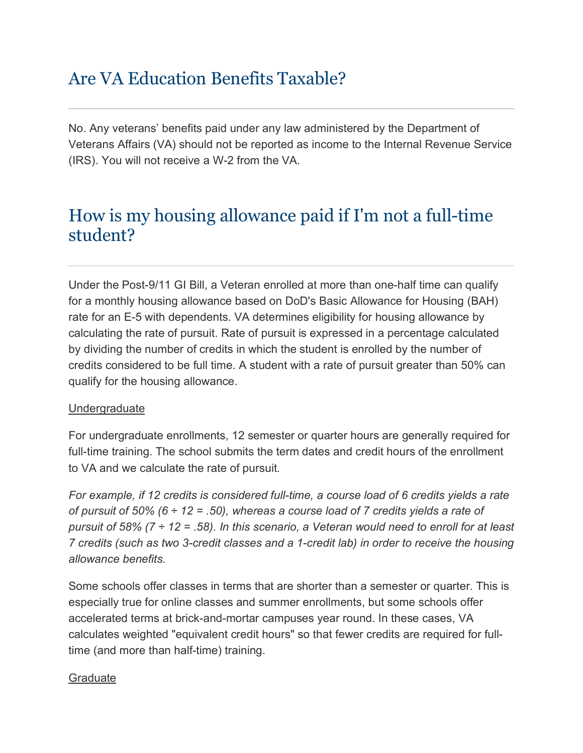# Are VA Education Benefits Taxable?

No. Any veterans' benefits paid under any law administered by the Department of Veterans Affairs (VA) should not be reported as income to the Internal Revenue Service (IRS). You will not receive a W-2 from the VA.

# How is my housing allowance paid if I'm not a full-time student?

Under the Post-9/11 GI Bill, a Veteran enrolled at more than one-half time can qualify for a monthly housing allowance based on DoD's Basic Allowance for Housing (BAH) rate for an E-5 with dependents. VA determines eligibility for housing allowance by calculating the rate of pursuit. Rate of pursuit is expressed in a percentage calculated by dividing the number of credits in which the student is enrolled by the number of credits considered to be full time. A student with a rate of pursuit greater than 50% can qualify for the housing allowance.

### Undergraduate

For undergraduate enrollments, 12 semester or quarter hours are generally required for full-time training. The school submits the term dates and credit hours of the enrollment to VA and we calculate the rate of pursuit.

*For example, if 12 credits is considered full-time, a course load of 6 credits yields a rate of pursuit of 50% (6 ÷ 12 = .50), whereas a course load of 7 credits yields a rate of pursuit of 58% (7 ÷ 12 = .58). In this scenario, a Veteran would need to enroll for at least 7 credits (such as two 3-credit classes and a 1-credit lab) in order to receive the housing allowance benefits.*

Some schools offer classes in terms that are shorter than a semester or quarter. This is especially true for online classes and summer enrollments, but some schools offer accelerated terms at brick-and-mortar campuses year round. In these cases, VA calculates weighted "equivalent credit hours" so that fewer credits are required for fulltime (and more than half-time) training.

#### **Graduate**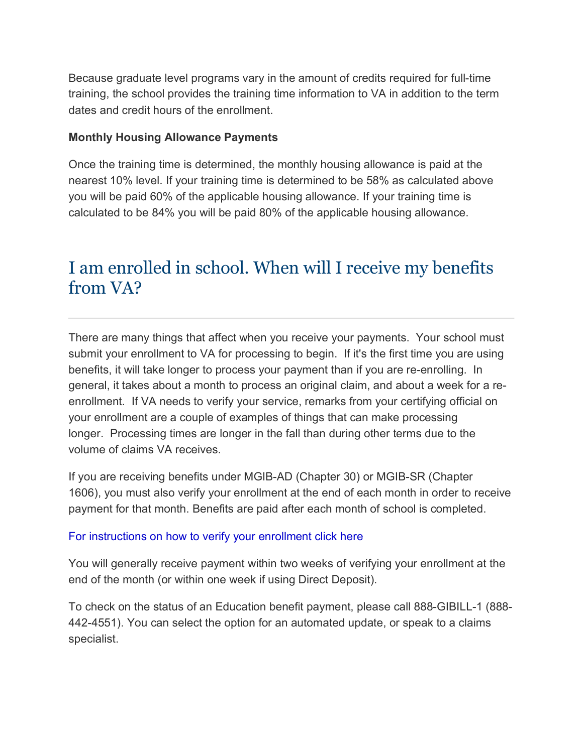Because graduate level programs vary in the amount of credits required for full-time training, the school provides the training time information to VA in addition to the term dates and credit hours of the enrollment.

#### **Monthly Housing Allowance Payments**

Once the training time is determined, the monthly housing allowance is paid at the nearest 10% level. If your training time is determined to be 58% as calculated above you will be paid 60% of the applicable housing allowance. If your training time is calculated to be 84% you will be paid 80% of the applicable housing allowance.

## I am enrolled in school. When will I receive my benefits from VA?

There are many things that affect when you receive your payments. Your school must submit your enrollment to VA for processing to begin. If it's the first time you are using benefits, it will take longer to process your payment than if you are re-enrolling. In general, it takes about a month to process an original claim, and about a week for a reenrollment. If VA needs to verify your service, remarks from your certifying official on your enrollment are a couple of examples of things that can make processing longer. Processing times are longer in the fall than during other terms due to the volume of claims VA receives.

If you are receiving benefits under MGIB-AD (Chapter 30) or MGIB-SR (Chapter 1606), you must also verify your enrollment at the end of each month in order to receive payment for that month. Benefits are paid after each month of school is completed.

#### For instructions on how to verify your enrollment click here

You will generally receive payment within two weeks of verifying your enrollment at the end of the month (or within one week if using Direct Deposit).

To check on the status of an Education benefit payment, please call 888-GIBILL-1 (888- 442-4551). You can select the option for an automated update, or speak to a claims specialist.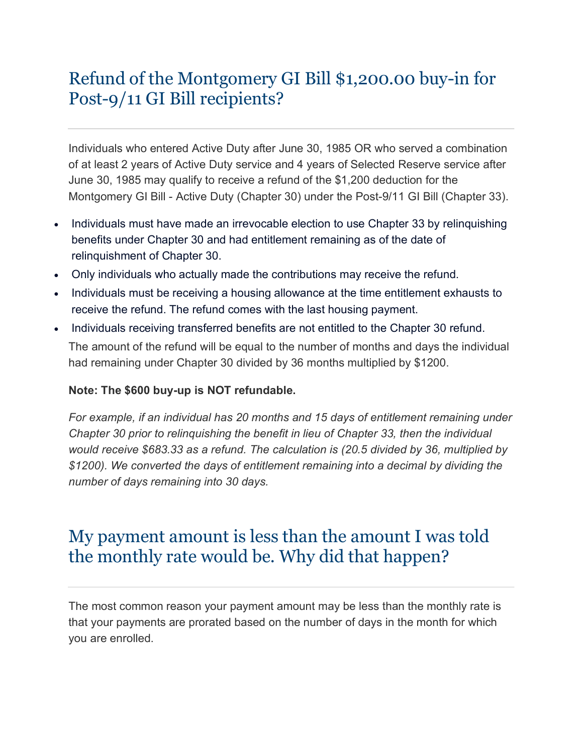# Refund of the Montgomery GI Bill \$1,200.00 buy-in for Post-9/11 GI Bill recipients?

Individuals who entered Active Duty after June 30, 1985 OR who served a combination of at least 2 years of Active Duty service and 4 years of Selected Reserve service after June 30, 1985 may qualify to receive a refund of the \$1,200 deduction for the Montgomery GI Bill - Active Duty (Chapter 30) under the Post-9/11 GI Bill (Chapter 33).

- Individuals must have made an irrevocable election to use Chapter 33 by relinquishing benefits under Chapter 30 and had entitlement remaining as of the date of relinquishment of Chapter 30.
- Only individuals who actually made the contributions may receive the refund.
- Individuals must be receiving a housing allowance at the time entitlement exhausts to receive the refund. The refund comes with the last housing payment.
- Individuals receiving transferred benefits are not entitled to the Chapter 30 refund. The amount of the refund will be equal to the number of months and days the individual had remaining under Chapter 30 divided by 36 months multiplied by \$1200.

### **Note: The \$600 buy-up is NOT refundable.**

*For example, if an individual has 20 months and 15 days of entitlement remaining under Chapter 30 prior to relinquishing the benefit in lieu of Chapter 33, then the individual would receive \$683.33 as a refund. The calculation is (20.5 divided by 36, multiplied by \$1200). We converted the days of entitlement remaining into a decimal by dividing the number of days remaining into 30 days.*

## My payment amount is less than the amount I was told the monthly rate would be. Why did that happen?

The most common reason your payment amount may be less than the monthly rate is that your payments are prorated based on the number of days in the month for which you are enrolled.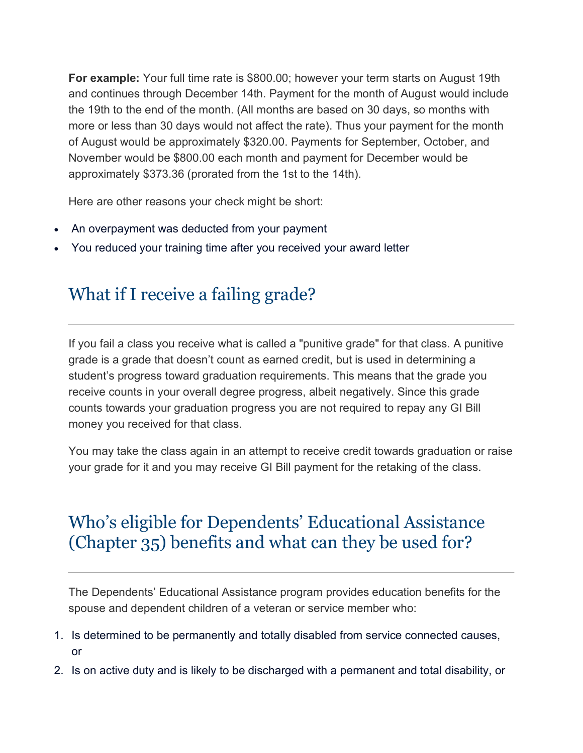**For example:** Your full time rate is \$800.00; however your term starts on August 19th and continues through December 14th. Payment for the month of August would include the 19th to the end of the month. (All months are based on 30 days, so months with more or less than 30 days would not affect the rate). Thus your payment for the month of August would be approximately \$320.00. Payments for September, October, and November would be \$800.00 each month and payment for December would be approximately \$373.36 (prorated from the 1st to the 14th).

Here are other reasons your check might be short:

- An overpayment was deducted from your payment
- You reduced your training time after you received your award letter

# What if I receive a failing grade?

If you fail a class you receive what is called a "punitive grade" for that class. A punitive grade is a grade that doesn't count as earned credit, but is used in determining a student's progress toward graduation requirements. This means that the grade you receive counts in your overall degree progress, albeit negatively. Since this grade counts towards your graduation progress you are not required to repay any GI Bill money you received for that class.

You may take the class again in an attempt to receive credit towards graduation or raise your grade for it and you may receive GI Bill payment for the retaking of the class.

## Who's eligible for Dependents' Educational Assistance (Chapter 35) benefits and what can they be used for?

The Dependents' Educational Assistance program provides education benefits for the spouse and dependent children of a veteran or service member who:

- 1. Is determined to be permanently and totally disabled from service connected causes, or
- 2. Is on active duty and is likely to be discharged with a permanent and total disability, or